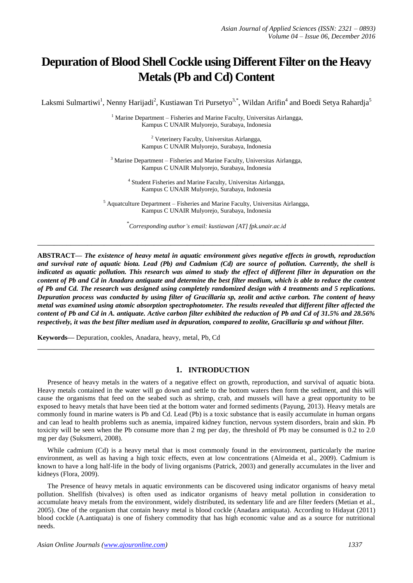# **Depuration of Blood Shell Cockle using Different Filter on the Heavy Metals (Pb and Cd) Content**

Laksmi Sulmartiwi<sup>1</sup>, Nenny Harijadi<sup>2</sup>, Kustiawan Tri Pursetyo<sup>3,\*</sup>, Wildan Arifin<sup>4</sup> and Boedi Setya Rahardja<sup>5</sup>

 $1$  Marine Department – Fisheries and Marine Faculty, Universitas Airlangga, Kampus C UNAIR Mulyorejo, Surabaya, Indonesia

> <sup>2</sup> Veterinery Faculty, Universitas Airlangga, Kampus C UNAIR Mulyorejo, Surabaya, Indonesia

<sup>3</sup> Marine Department – Fisheries and Marine Faculty, Universitas Airlangga, Kampus C UNAIR Mulyorejo, Surabaya, Indonesia

4 Student Fisheries and Marine Faculty, Universitas Airlangga, Kampus C UNAIR Mulyorejo, Surabaya, Indonesia

 $<sup>5</sup>$  Aquatculture Department – Fisheries and Marine Faculty, Universitas Airlangga,</sup> Kampus C UNAIR Mulyorejo, Surabaya, Indonesia

\* *Corresponding author's email: kustiawan [AT] fpk.unair.ac.id*

**\_\_\_\_\_\_\_\_\_\_\_\_\_\_\_\_\_\_\_\_\_\_\_\_\_\_\_\_\_\_\_\_\_\_\_\_\_\_\_\_\_\_\_\_\_\_\_\_\_\_\_\_\_\_\_\_\_\_\_\_\_\_\_\_\_\_\_\_\_\_\_\_\_\_\_\_\_\_\_\_\_**

**ABSTRACT—** *The existence of heavy metal in aquatic environment gives negative effects in growth, reproduction and survival rate of aquatic biota. Lead (Pb) and Cadmium (Cd) are source of pollution. Currently, the shell is indicated as aquatic pollution. This research was aimed to study the effect of different filter in depuration on the content of Pb and Cd in Anadara antiquate and determine the best filter medium, which is able to reduce the content of Pb and Cd. The research was designed using completely randomized design with 4 treatments and 5 replications. Depuration process was conducted by using filter of Gracillaria sp, zeolit and active carbon. The content of heavy metal was examined using atomic absorption spectrophotometer. The results revealed that different filter affected the content of Pb and Cd in A. antiquate. Active carbon filter exhibited the reduction of Pb and Cd of 31.5% and 28.56% respectively, it was the best filter medium used in depuration, compared to zeolite, Gracillaria sp and without filter.*

**Keywords—** Depuration, cookles, Anadara, heavy, metal, Pb, Cd

# **1. INTRODUCTION**

**\_\_\_\_\_\_\_\_\_\_\_\_\_\_\_\_\_\_\_\_\_\_\_\_\_\_\_\_\_\_\_\_\_\_\_\_\_\_\_\_\_\_\_\_\_\_\_\_\_\_\_\_\_\_\_\_\_\_\_\_\_\_\_\_\_\_\_\_\_\_\_\_\_\_\_\_\_\_\_\_\_**

Presence of heavy metals in the waters of a negative effect on growth, reproduction, and survival of aquatic biota. Heavy metals contained in the water will go down and settle to the bottom waters then form the sediment, and this will cause the organisms that feed on the seabed such as shrimp, crab, and mussels will have a great opportunity to be exposed to heavy metals that have been tied at the bottom water and formed sediments (Payung, 2013). Heavy metals are commonly found in marine waters is Pb and Cd. Lead (Pb) is a toxic substance that is easily accumulate in human organs and can lead to health problems such as anemia, impaired kidney function, nervous system disorders, brain and skin. Pb toxicity will be seen when the Pb consume more than 2 mg per day, the threshold of Pb may be consumed is 0.2 to 2.0 mg per day (Suksmerri, 2008).

While cadmium (Cd) is a heavy metal that is most commonly found in the environment, particularly the marine environment, as well as having a high toxic effects, even at low concentrations (Almeida et al., 2009). Cadmium is known to have a long half-life in the body of living organisms (Patrick, 2003) and generally accumulates in the liver and kidneys (Flora, 2009).

The Presence of heavy metals in aquatic environments can be discovered using indicator organisms of heavy metal pollution. Shellfish (bivalves) is often used as indicator organisms of heavy metal pollution in consideration to accumulate heavy metals from the environment, widely distributed, its sedentary life and are filter feeders (Metian et al., 2005). One of the organism that contain heavy metal is blood cockle (Anadara antiquata). According to Hidayat (2011) blood cockle (A.antiquata) is one of fishery commodity that has high economic value and as a source for nutritional needs.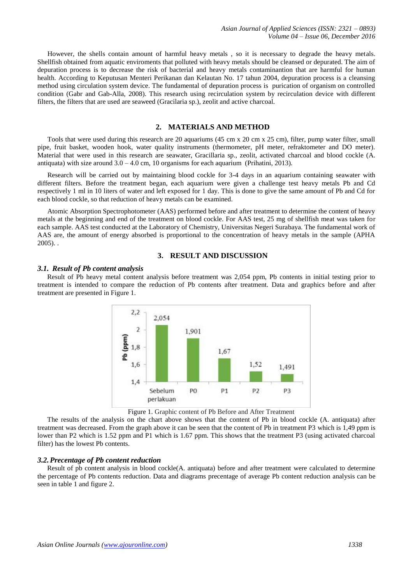However, the shells contain amount of harmful heavy metals , so it is necessary to degrade the heavy metals. Shellfish obtained from aquatic enviroments that polluted with heavy metals should be cleansed or depurated. The aim of depuration process is to decrease the risk of bacterial and heavy metals contaminantion that are harmful for human health. According to Keputusan Menteri Perikanan dan Kelautan No. 17 tahun 2004, depuration process is a cleansing method using circulation system device. The fundamental of depuration process is purication of organism on controlled condition (Gabr and Gab-Alla, 2008). This research using recirculation system by recirculation device with different filters, the filters that are used are seaweed (Gracilaria sp.), zeolit and active charcoal.

# **2. MATERIALS AND METHOD**

Tools that were used during this research are 20 aquariums (45 cm x 20 cm x 25 cm), filter, pump water filter, small pipe, fruit basket, wooden hook, water quality instruments (thermometer, pH meter, refraktometer and DO meter). Material that were used in this research are seawater, Gracillaria sp., zeolit, activated charcoal and blood cockle (A. antiquata) with size around  $3.0 - 4.0$  cm, 10 organisms for each aquarium (Prihatini, 2013).

Research will be carried out by maintaining blood cockle for 3-4 days in an aquarium containing seawater with different filters. Before the treatment began, each aquarium were given a challenge test heavy metals Pb and Cd respectively 1 ml in 10 liters of water and left exposed for 1 day. This is done to give the same amount of Pb and Cd for each blood cockle, so that reduction of heavy metals can be examined.

Atomic Absorption Spectrophotometer (AAS) performed before and after treatment to determine the content of heavy metals at the beginning and end of the treatment on blood cockle. For AAS test, 25 mg of shellfish meat was taken for each sample. AAS test conducted at the Laboratory of Chemistry, Universitas Negeri Surabaya. The fundamental work of AAS are, the amount of energy absorbed is proportional to the concentration of heavy metals in the sample (APHA  $2005$ )..

#### **3. RESULT AND DISCUSSION**

#### *3.1. Result of Pb content analysis*

Result of Pb heavy metal content analysis before treatment was 2,054 ppm, Pb contents in initial testing prior to treatment is intended to compare the reduction of Pb contents after treatment. Data and graphics before and after treatment are presented in Figure 1.



Figure 1. Graphic content of Pb Before and After Treatment

The results of the analysis on the chart above shows that the content of Pb in blood cockle (A. antiquata) after treatment was decreased. From the graph above it can be seen that the content of Pb in treatment P3 which is 1,49 ppm is lower than P2 which is 1.52 ppm and P1 which is 1.67 ppm. This shows that the treatment P3 (using activated charcoal filter) has the lowest Pb contents.

#### *3.2.Precentage of Pb content reduction*

Result of pb content analysis in blood cockle(A. antiquata) before and after treatment were calculated to determine the percentage of Pb contents reduction. Data and diagrams precentage of average Pb content reduction analysis can be seen in table 1 and figure 2.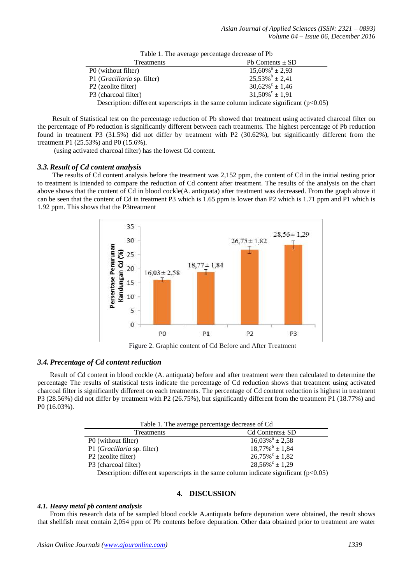| Table 1. The average percentage decrease of Pb                                         |                               |
|----------------------------------------------------------------------------------------|-------------------------------|
| Treatments                                                                             | Pb Contents $\pm$ SD          |
| P0 (without filter)                                                                    | $15,60\%$ <sup>a</sup> ± 2,93 |
| P1 (Gracillaria sp. filter)                                                            | $25,53\%$ <sup>b</sup> ± 2,41 |
| P <sub>2</sub> (zeolite filter)                                                        | $30,62\%$ <sup>c</sup> ± 1,46 |
| P3 (charcoal filter)                                                                   | $31,50\%$ <sup>c</sup> ± 1,91 |
| Description: different superscripts in the same column indicate significant $(p<0.05)$ |                               |

Result of Statistical test on the percentage reduction of Pb showed that treatment using activated charcoal filter on the percentage of Pb reduction is significantly different between each treatments. The highest percentage of Pb reduction found in treatment P3 (31.5%) did not differ by treatment with P2 (30.62%), but significantly different from the treatment P1 (25.53%) and P0 (15.6%).

(using activated charcoal filter) has the lowest Cd content.

#### *3.3.Result of Cd content analysis*

The results of Cd content analysis before the treatment was 2,152 ppm, the content of Cd in the initial testing prior to treatment is intended to compare the reduction of Cd content after treatment. The results of the analysis on the chart above shows that the content of Cd in blood cockle(A. antiquata) after treatment was decreased. From the graph above it can be seen that the content of Cd in treatment P3 which is 1.65 ppm is lower than P2 which is 1.71 ppm and P1 which is 1.92 ppm. This shows that the P3treatment



Figure 2. Graphic content of Cd Before and After Treatment

# *3.4.Precentage of Cd content reduction*

Result of Cd content in blood cockle (A. antiquata) before and after treatment were then calculated to determine the percentage The results of statistical tests indicate the percentage of Cd reduction shows that treatment using activated charcoal filter is significantly different on each treatments. The percentage of Cd content reduction is highest in treatment P3 (28.56%) did not differ by treatment with P2 (26.75%), but significantly different from the treatment P1 (18.77%) and P0 (16.03%).

| Table 1. The average percentage decrease of Cd |                                |
|------------------------------------------------|--------------------------------|
| Treatments                                     | $Cd$ Contents $\pm$ SD         |
| P0 (without filter)                            | $16,03\%$ <sup>a</sup> ± 2,58  |
| P1 ( <i>Gracillaria</i> sp. filter)            | $18,77\%$ <sup>b</sup> ± 1,84  |
| P2 (zeolite filter)                            | $26,75\%^{\circ} \pm 1,82$     |
| P3 (charcoal filter)                           | $28,56\%^{\circ} \pm 1,29$     |
| .                                              | $\sim$<br>$\sim$ $\sim$ $\sim$ |

Description: different superscripts in the same column indicate significant  $(p<0.05)$ 

## **4. DISCUSSION**

## *4.1. Heavy metal pb content analysis*

From this research data of be sampled blood cockle A.antiquata before depuration were obtained, the result shows that shellfish meat contain 2,054 ppm of Pb contents before depuration. Other data obtained prior to treatment are water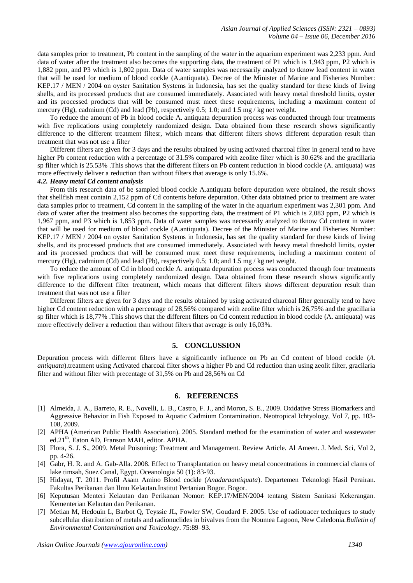data samples prior to treatment, Pb content in the sampling of the water in the aquarium experiment was 2,233 ppm. And data of water after the treatment also becomes the supporting data, the treatment of P1 which is 1,943 ppm, P2 which is 1,882 ppm, and P3 which is 1,802 ppm. Data of water samples was necessarily analyzed to tknow lead content in water that will be used for medium of blood cockle (A.antiquata). Decree of the Minister of Marine and Fisheries Number: KEP.17 / MEN / 2004 on oyster Sanitation Systems in Indonesia, has set the quality standard for these kinds of living shells, and its processed products that are consumed immediately. Associated with heavy metal threshold limits, oyster and its processed products that will be consumed must meet these requirements, including a maximum content of mercury (Hg), cadmium (Cd) and lead (Pb), respectively 0.5; 1.0; and 1.5 mg / kg net weight.

To reduce the amount of Pb in blood cockle A. antiquata depuration process was conducted through four treatments with five replications using completely randomized design. Data obtained from these research shows significantly difference to the different treatment filtesr, which means that different filters shows different depuration result than treatment that was not use a filter

Different filters are given for 3 days and the results obtained by using activated charcoal filter in general tend to have higher Pb content reduction with a percentage of 31.5% compared with zeolite filter which is 30.62% and the gracillaria sp filter which is 25.53% .This shows that the different filters on Pb content reduction in blood cockle (A. antiquata) was more effectively deliver a reduction than without filters that average is only 15.6%.

# *4.2. Heavy metal Cd content analysis*

From this research data of be sampled blood cockle A.antiquata before depuration were obtained, the result shows that shellfish meat contain 2,152 ppm of Cd contents before depuration. Other data obtained prior to treatment are water data samples prior to treatment, Cd content in the sampling of the water in the aquarium experiment was 2,301 ppm. And data of water after the treatment also becomes the supporting data, the treatment of P1 which is 2,083 ppm, P2 which is 1,967 ppm, and P3 which is 1,853 ppm. Data of water samples was necessarily analyzed to tknow Cd content in water that will be used for medium of blood cockle (A.antiquata). Decree of the Minister of Marine and Fisheries Number: KEP.17 / MEN / 2004 on oyster Sanitation Systems in Indonesia, has set the quality standard for these kinds of living shells, and its processed products that are consumed immediately. Associated with heavy metal threshold limits, oyster and its processed products that will be consumed must meet these requirements, including a maximum content of mercury (Hg), cadmium (Cd) and lead (Pb), respectively 0.5; 1.0; and 1.5 mg / kg net weight.

To reduce the amount of Cd in blood cockle A. antiquata depuration process was conducted through four treatments with five replications using completely randomized design. Data obtained from these research shows significantly difference to the different filter treatment, which means that different filters shows different depuration result than treatment that was not use a filter

Different filters are given for 3 days and the results obtained by using activated charcoal filter generally tend to have higher Cd content reduction with a percentage of 28,56% compared with zeolite filter which is 26,75% and the gracillaria sp filter which is 18,77% .This shows that the different filters on Cd content reduction in blood cockle (A. antiquata) was more effectively deliver a reduction than without filters that average is only 16,03%.

# **5. CONCLUSSION**

Depuration process with different filters have a significantly influence on Pb an Cd content of blood cockle (*A. antiquata*).treatment using Activated charcoal filter shows a higher Pb and Cd reduction than using zeolit filter, gracilaria filter and without filter with precentage of 31,5% on Pb and 28,56% on Cd

#### **6. REFERENCES**

- [1] Almeida, J. A., Barreto, R. E., Novelli, L. B., Castro, F. J., and Moron, S. E., 2009. Oxidative Stress Biomarkers and Aggressive Behavior in Fish Exposed to Aquatic Cadmium Contamination. Neotropical Ichtyology, Vol 7, pp. 103- 108, 2009.
- [2] APHA (American Public Health Association). 2005. Standard method for the examination of water and wastewater ed.21<sup>th</sup>. Eaton AD, Franson MAH, editor. APHA.
- [3] Flora, S. J. S., 2009. Metal Poisoning: Treatment and Management. Review Article. Al Ameen. J. Med. Sci*,* Vol 2, pp. 4-26.
- [4] Gabr, H. R. and A. Gab-Alla. 2008. Effect to Transplantation on heavy metal concentrations in commercial clams of lake timsah, Suez Canal, Egypt. Oceanologia 50 (1): 83-93.
- [5] Hidayat, T. 2011. Profil Asam Amino Blood cockle (*Anadaraantiquata*). Departemen Teknologi Hasil Perairan. Fakultas Perikanan dan Ilmu Kelautan.Institut Pertanian Bogor. Bogor.
- [6] Keputusan Menteri Kelautan dan Perikanan Nomor: KEP.17/MEN/2004 tentang Sistem Sanitasi Kekerangan. Kementerian Kelautan dan Perikanan.
- [7] Metian M, Hedouin L, Barbot Q, Teyssie JL, Fowler SW, Goudard F. 2005. Use of radiotracer techniques to study subcellular distribution of metals and radionuclides in bivalves from the Noumea Lagoon, New Caledonia.*Bulletin of Environmental Contamination and Toxicology*. 75:89–93.